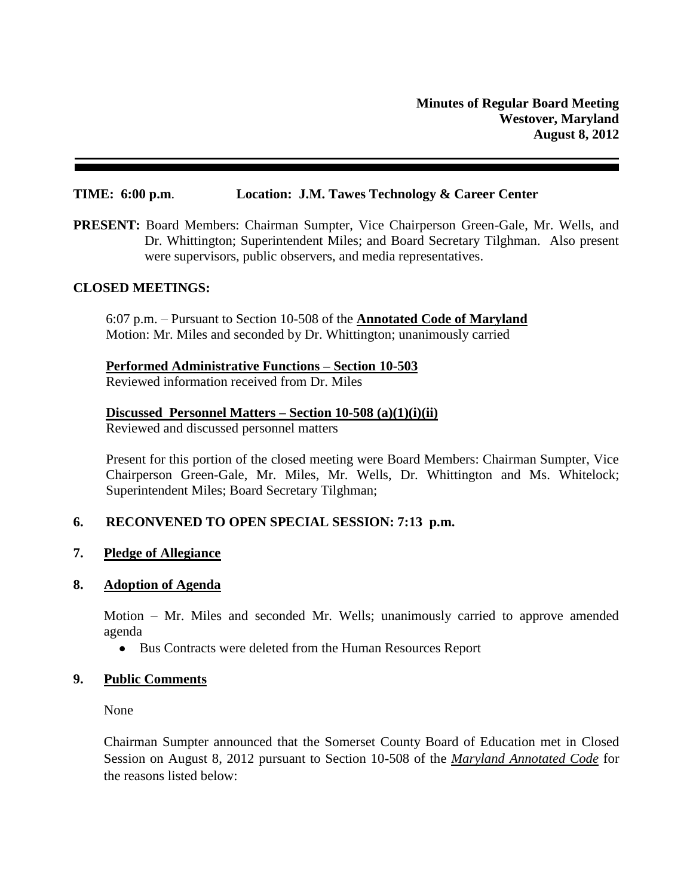#### **TIME: 6:00 p.m**. **Location: J.M. Tawes Technology & Career Center**

**PRESENT:** Board Members: Chairman Sumpter, Vice Chairperson Green-Gale, Mr. Wells, and Dr. Whittington; Superintendent Miles; and Board Secretary Tilghman. Also present were supervisors, public observers, and media representatives.

### **CLOSED MEETINGS:**

6:07 p.m. – Pursuant to Section 10-508 of the **Annotated Code of Maryland** Motion: Mr. Miles and seconded by Dr. Whittington; unanimously carried

### **Performed Administrative Functions – Section 10-503**

Reviewed information received from Dr. Miles

### **Discussed Personnel Matters – Section 10-508 (a)(1)(i)(ii)**

Reviewed and discussed personnel matters

Present for this portion of the closed meeting were Board Members: Chairman Sumpter, Vice Chairperson Green-Gale, Mr. Miles, Mr. Wells, Dr. Whittington and Ms. Whitelock; Superintendent Miles; Board Secretary Tilghman;

## **6. RECONVENED TO OPEN SPECIAL SESSION: 7:13 p.m.**

### **7. Pledge of Allegiance**

#### **8. Adoption of Agenda**

Motion – Mr. Miles and seconded Mr. Wells; unanimously carried to approve amended agenda

• Bus Contracts were deleted from the Human Resources Report

### **9. Public Comments**

None

Chairman Sumpter announced that the Somerset County Board of Education met in Closed Session on August 8, 2012 pursuant to Section 10-508 of the *Maryland Annotated Code* for the reasons listed below: